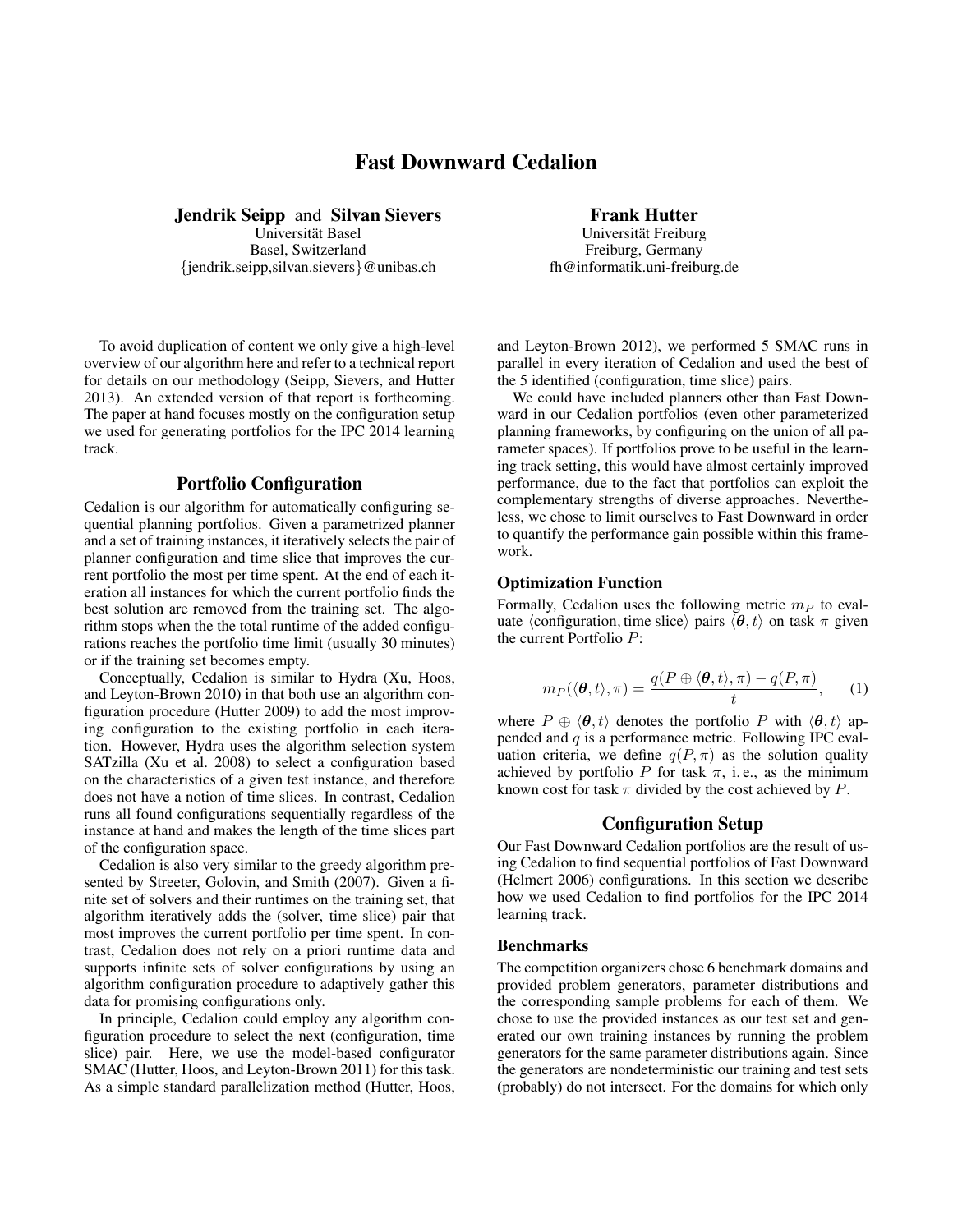# Fast Downward Cedalion

Jendrik Seipp and Silvan Sievers

Universität Basel Basel, Switzerland {jendrik.seipp,silvan.sievers}@unibas.ch

To avoid duplication of content we only give a high-level overview of our algorithm here and refer to a technical report for details on our methodology (Seipp, Sievers, and Hutter 2013). An extended version of that report is forthcoming. The paper at hand focuses mostly on the configuration setup we used for generating portfolios for the IPC 2014 learning track.

## Portfolio Configuration

Cedalion is our algorithm for automatically configuring sequential planning portfolios. Given a parametrized planner and a set of training instances, it iteratively selects the pair of planner configuration and time slice that improves the current portfolio the most per time spent. At the end of each iteration all instances for which the current portfolio finds the best solution are removed from the training set. The algorithm stops when the the total runtime of the added configurations reaches the portfolio time limit (usually 30 minutes) or if the training set becomes empty.

Conceptually, Cedalion is similar to Hydra (Xu, Hoos, and Leyton-Brown 2010) in that both use an algorithm configuration procedure (Hutter 2009) to add the most improving configuration to the existing portfolio in each iteration. However, Hydra uses the algorithm selection system SATzilla (Xu et al. 2008) to select a configuration based on the characteristics of a given test instance, and therefore does not have a notion of time slices. In contrast, Cedalion runs all found configurations sequentially regardless of the instance at hand and makes the length of the time slices part of the configuration space.

Cedalion is also very similar to the greedy algorithm presented by Streeter, Golovin, and Smith (2007). Given a finite set of solvers and their runtimes on the training set, that algorithm iteratively adds the (solver, time slice) pair that most improves the current portfolio per time spent. In contrast, Cedalion does not rely on a priori runtime data and supports infinite sets of solver configurations by using an algorithm configuration procedure to adaptively gather this data for promising configurations only.

In principle, Cedalion could employ any algorithm configuration procedure to select the next (configuration, time slice) pair. Here, we use the model-based configurator SMAC (Hutter, Hoos, and Leyton-Brown 2011) for this task. As a simple standard parallelization method (Hutter, Hoos,

#### Frank Hutter

Universität Freiburg Freiburg, Germany fh@informatik.uni-freiburg.de

and Leyton-Brown 2012), we performed 5 SMAC runs in parallel in every iteration of Cedalion and used the best of the 5 identified (configuration, time slice) pairs.

We could have included planners other than Fast Downward in our Cedalion portfolios (even other parameterized planning frameworks, by configuring on the union of all parameter spaces). If portfolios prove to be useful in the learning track setting, this would have almost certainly improved performance, due to the fact that portfolios can exploit the complementary strengths of diverse approaches. Nevertheless, we chose to limit ourselves to Fast Downward in order to quantify the performance gain possible within this framework.

#### Optimization Function

Formally, Cedalion uses the following metric  $m_P$  to evaluate  $\langle$  configuration, time slice $\rangle$  pairs  $\langle \theta, t \rangle$  on task  $\pi$  given the current Portfolio P:

$$
m_P(\langle \boldsymbol{\theta}, t \rangle, \pi) = \frac{q(P \oplus \langle \boldsymbol{\theta}, t \rangle, \pi) - q(P, \pi)}{t}, \qquad (1)
$$

where  $P \oplus \langle \theta, t \rangle$  denotes the portfolio P with  $\langle \theta, t \rangle$  appended and q is a performance metric. Following IPC evaluation criteria, we define  $q(P, \pi)$  as the solution quality achieved by portfolio P for task  $\pi$ , i.e., as the minimum known cost for task  $\pi$  divided by the cost achieved by P.

#### Configuration Setup

Our Fast Downward Cedalion portfolios are the result of using Cedalion to find sequential portfolios of Fast Downward (Helmert 2006) configurations. In this section we describe how we used Cedalion to find portfolios for the IPC 2014 learning track.

#### Benchmarks

The competition organizers chose 6 benchmark domains and provided problem generators, parameter distributions and the corresponding sample problems for each of them. We chose to use the provided instances as our test set and generated our own training instances by running the problem generators for the same parameter distributions again. Since the generators are nondeterministic our training and test sets (probably) do not intersect. For the domains for which only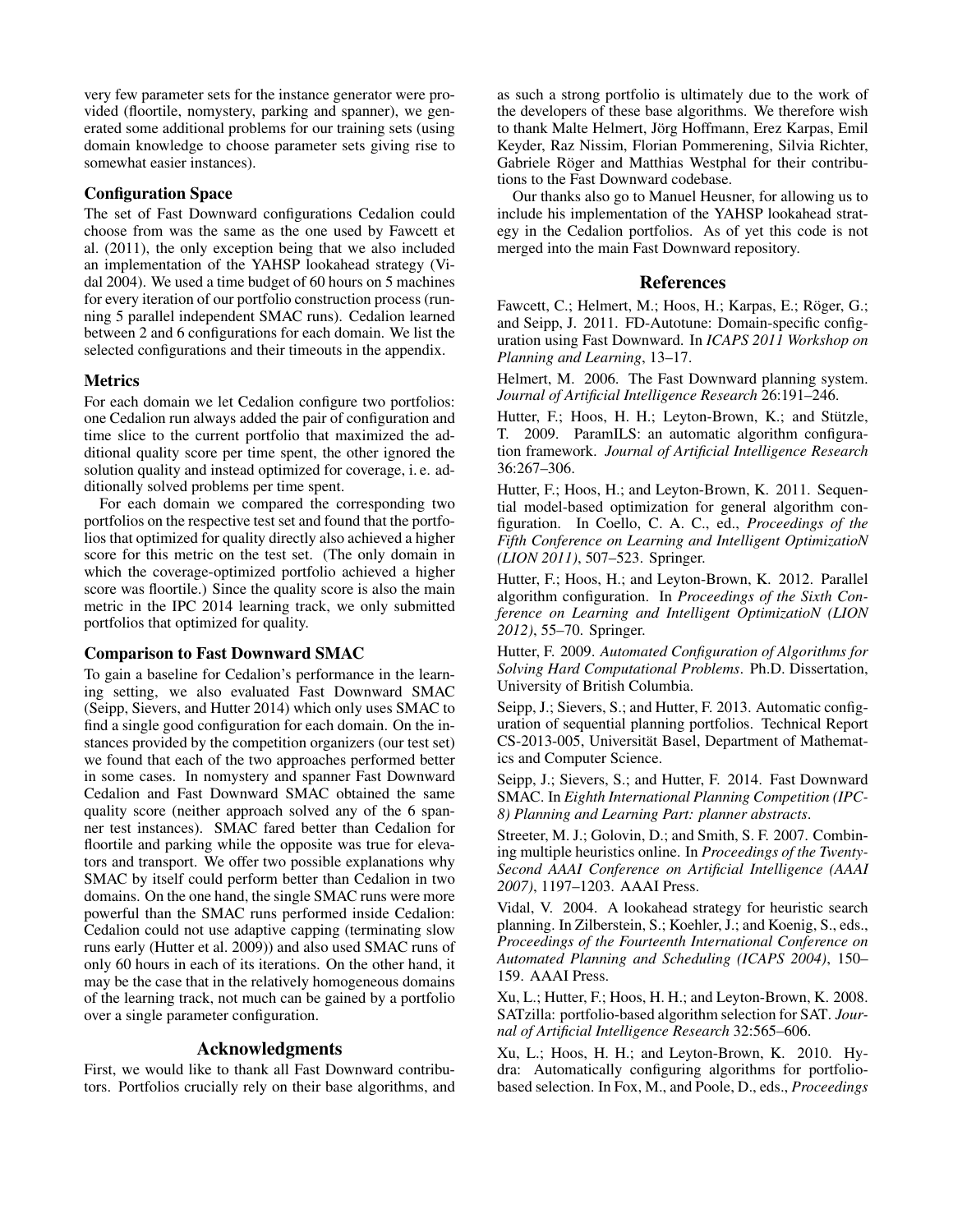very few parameter sets for the instance generator were provided (floortile, nomystery, parking and spanner), we generated some additional problems for our training sets (using domain knowledge to choose parameter sets giving rise to somewhat easier instances).

## Configuration Space

The set of Fast Downward configurations Cedalion could choose from was the same as the one used by Fawcett et al. (2011), the only exception being that we also included an implementation of the YAHSP lookahead strategy (Vidal 2004). We used a time budget of 60 hours on 5 machines for every iteration of our portfolio construction process (running 5 parallel independent SMAC runs). Cedalion learned between 2 and 6 configurations for each domain. We list the selected configurations and their timeouts in the appendix.

## Metrics

For each domain we let Cedalion configure two portfolios: one Cedalion run always added the pair of configuration and time slice to the current portfolio that maximized the additional quality score per time spent, the other ignored the solution quality and instead optimized for coverage, i. e. additionally solved problems per time spent.

For each domain we compared the corresponding two portfolios on the respective test set and found that the portfolios that optimized for quality directly also achieved a higher score for this metric on the test set. (The only domain in which the coverage-optimized portfolio achieved a higher score was floortile.) Since the quality score is also the main metric in the IPC 2014 learning track, we only submitted portfolios that optimized for quality.

#### Comparison to Fast Downward SMAC

To gain a baseline for Cedalion's performance in the learning setting, we also evaluated Fast Downward SMAC (Seipp, Sievers, and Hutter 2014) which only uses SMAC to find a single good configuration for each domain. On the instances provided by the competition organizers (our test set) we found that each of the two approaches performed better in some cases. In nomystery and spanner Fast Downward Cedalion and Fast Downward SMAC obtained the same quality score (neither approach solved any of the 6 spanner test instances). SMAC fared better than Cedalion for floortile and parking while the opposite was true for elevators and transport. We offer two possible explanations why SMAC by itself could perform better than Cedalion in two domains. On the one hand, the single SMAC runs were more powerful than the SMAC runs performed inside Cedalion: Cedalion could not use adaptive capping (terminating slow runs early (Hutter et al. 2009)) and also used SMAC runs of only 60 hours in each of its iterations. On the other hand, it may be the case that in the relatively homogeneous domains of the learning track, not much can be gained by a portfolio over a single parameter configuration.

## Acknowledgments

First, we would like to thank all Fast Downward contributors. Portfolios crucially rely on their base algorithms, and

as such a strong portfolio is ultimately due to the work of the developers of these base algorithms. We therefore wish to thank Malte Helmert, Jörg Hoffmann, Erez Karpas, Emil Keyder, Raz Nissim, Florian Pommerening, Silvia Richter, Gabriele Röger and Matthias Westphal for their contributions to the Fast Downward codebase.

Our thanks also go to Manuel Heusner, for allowing us to include his implementation of the YAHSP lookahead strategy in the Cedalion portfolios. As of yet this code is not merged into the main Fast Downward repository.

### References

Fawcett, C.; Helmert, M.; Hoos, H.; Karpas, E.; Röger, G.; and Seipp, J. 2011. FD-Autotune: Domain-specific configuration using Fast Downward. In *ICAPS 2011 Workshop on Planning and Learning*, 13–17.

Helmert, M. 2006. The Fast Downward planning system. *Journal of Artificial Intelligence Research* 26:191–246.

Hutter, F.; Hoos, H. H.; Leyton-Brown, K.; and Stützle, T. 2009. ParamILS: an automatic algorithm configuration framework. *Journal of Artificial Intelligence Research* 36:267–306.

Hutter, F.; Hoos, H.; and Leyton-Brown, K. 2011. Sequential model-based optimization for general algorithm configuration. In Coello, C. A. C., ed., *Proceedings of the Fifth Conference on Learning and Intelligent OptimizatioN (LION 2011)*, 507–523. Springer.

Hutter, F.; Hoos, H.; and Leyton-Brown, K. 2012. Parallel algorithm configuration. In *Proceedings of the Sixth Conference on Learning and Intelligent OptimizatioN (LION 2012)*, 55–70. Springer.

Hutter, F. 2009. *Automated Configuration of Algorithms for Solving Hard Computational Problems*. Ph.D. Dissertation, University of British Columbia.

Seipp, J.; Sievers, S.; and Hutter, F. 2013. Automatic configuration of sequential planning portfolios. Technical Report CS-2013-005, Universität Basel, Department of Mathematics and Computer Science.

Seipp, J.; Sievers, S.; and Hutter, F. 2014. Fast Downward SMAC. In *Eighth International Planning Competition (IPC-8) Planning and Learning Part: planner abstracts*.

Streeter, M. J.; Golovin, D.; and Smith, S. F. 2007. Combining multiple heuristics online. In *Proceedings of the Twenty-Second AAAI Conference on Artificial Intelligence (AAAI 2007)*, 1197–1203. AAAI Press.

Vidal, V. 2004. A lookahead strategy for heuristic search planning. In Zilberstein, S.; Koehler, J.; and Koenig, S., eds., *Proceedings of the Fourteenth International Conference on Automated Planning and Scheduling (ICAPS 2004)*, 150– 159. AAAI Press.

Xu, L.; Hutter, F.; Hoos, H. H.; and Leyton-Brown, K. 2008. SATzilla: portfolio-based algorithm selection for SAT. *Journal of Artificial Intelligence Research* 32:565–606.

Xu, L.; Hoos, H. H.; and Leyton-Brown, K. 2010. Hydra: Automatically configuring algorithms for portfoliobased selection. In Fox, M., and Poole, D., eds., *Proceedings*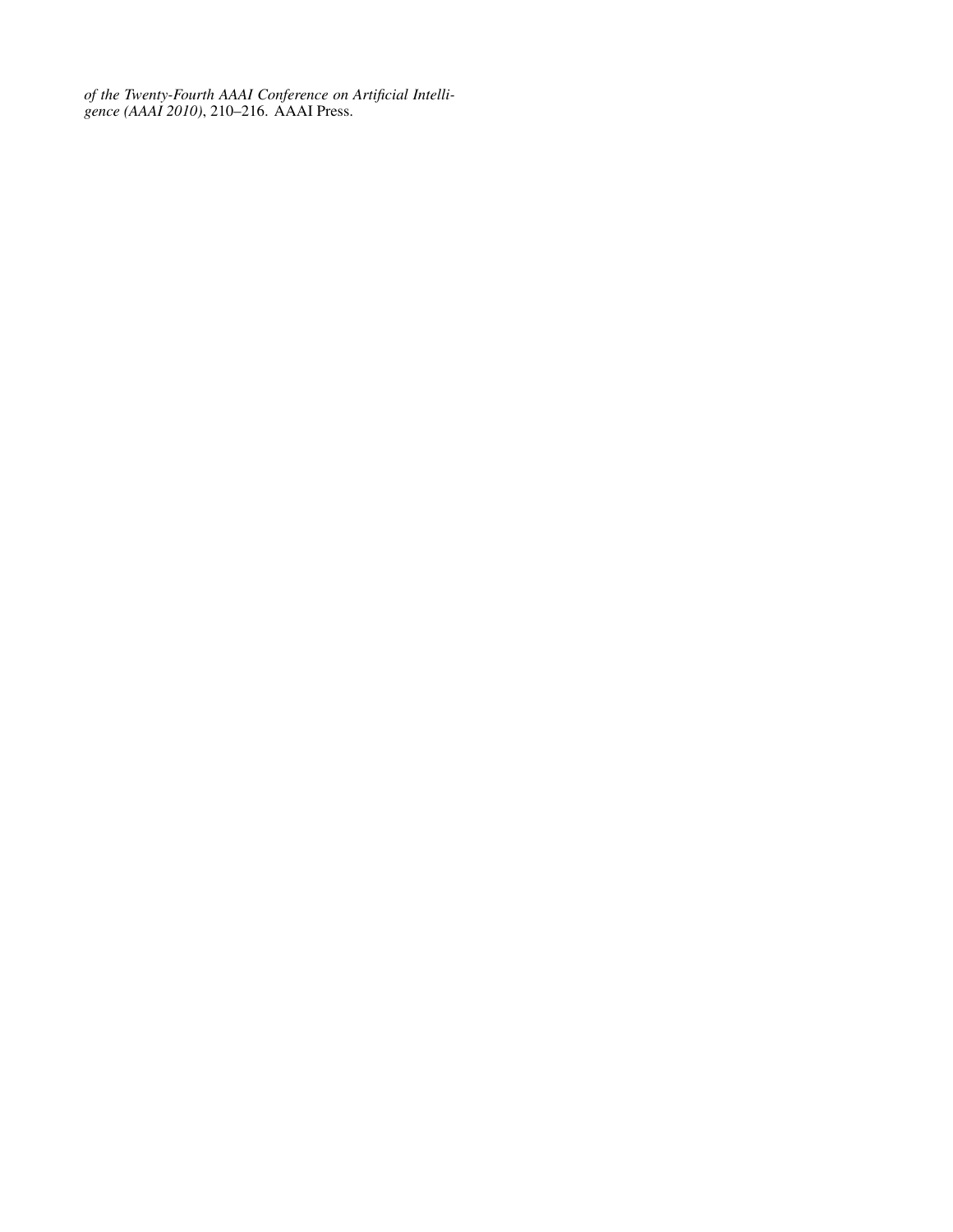*of the Twenty-Fourth AAAI Conference on Artificial Intelligence (AAAI 2010)*, 210–216. AAAI Press.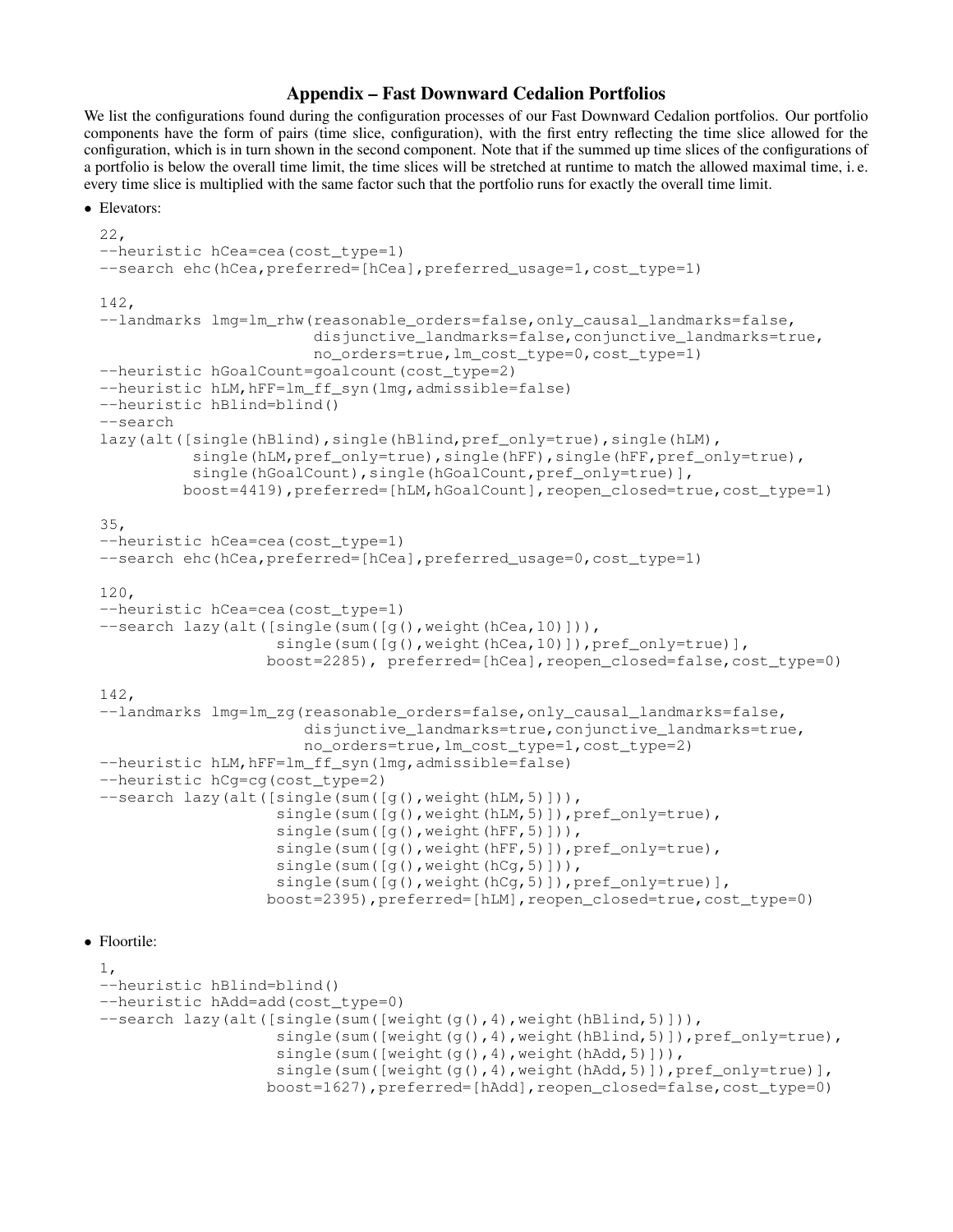# Appendix – Fast Downward Cedalion Portfolios

We list the configurations found during the configuration processes of our Fast Downward Cedalion portfolios. Our portfolio components have the form of pairs (time slice, configuration), with the first entry reflecting the time slice allowed for the configuration, which is in turn shown in the second component. Note that if the summed up time slices of the configurations of a portfolio is below the overall time limit, the time slices will be stretched at runtime to match the allowed maximal time, i. e. every time slice is multiplied with the same factor such that the portfolio runs for exactly the overall time limit.

```
• Elevators:
 22,
 --heuristic hCea=cea(cost_type=1)
 --search ehc(hCea, preferred=[hCea], preferred_usage=1, cost_type=1)
 142,
 --landmarks lmg=lm_rhw(reasonable_orders=false,only_causal_landmarks=false,
                         disjunctive_landmarks=false,conjunctive_landmarks=true,
                         no_orders=true,lm_cost_type=0,cost_type=1)
 --heuristic hGoalCount=goalcount(cost_type=2)
 --heuristic hLM, hFF=lm_ff_syn(lmg, admissible=false)
 --heuristic hBlind=blind()
 --search
 lazy(alt([single(hBlind),single(hBlind,pref_only=true),single(hLM),
            single(hLM,pref_only=true),single(hFF),single(hFF,pref_only=true),
            single(hGoalCount), single(hGoalCount, pref_only=true)],
           boost=4419),preferred=[hLM,hGoalCount],reopen_closed=true,cost_type=1)
 35,
 --heuristic hCea=cea(cost_type=1)
 --search ehc(hCea,preferred=[hCea],preferred_usage=0,cost_type=1)
 120,
 --heuristic hCea=cea(cost_type=1)
 --search lazy(alt([single(sum([g(),weight(hCea,10)])),
                     single(sum([q(),weight(hCea,10)]),pref_only=true)],
                    boost=2285), preferred=[hCea],reopen_closed=false,cost_type=0)
 142,
 --landmarks lmg=lm_zg(reasonable_orders=false,only_causal_landmarks=false,
                        disjunctive landmarks=true, conjunctive landmarks=true,
                        no_orders=true,lm_cost_type=1,cost_type=2)
 --heuristic hLM, hFF=lm_ff_syn(lmg, admissible=false)
 --heuristic hCg=cg(cost_type=2)
 --search lazy(alt([single(sum([g(),weight(hLM,5)])),
                     single(sum([g(),weight(hLM,5)]),pref_only=true),
                     single(sum([q(),weight(hFF,5)])),
                     single(sum([g(), weight(hFF, 5)]), pref_only=true),
                     single(sum([g(),weight(hCg,5)])),
                     single(sum([q(),weight(hCq,5)]),pref_only=true)],
                    boost=2395),preferred=[hLM],reopen_closed=true,cost_type=0)
```
# • Floortile:

```
1,
--heuristic hBlind=blind()
--heuristic hAdd=add(cost_type=0)
--search lazy(alt([single(sum([weight(g(), 4), weight(hBlind, 5)])),
                   single(sum([weight(g(),4),weight(hBlind,5)]),pref_only=true),
                   single(sum([weight(g(),4),weight(hAdd,5)])),
                   single(sum([weight(q(),4),weight(hAdd,5)]),pref_only=true)],
                  boost=1627),preferred=[hAdd],reopen_closed=false,cost_type=0)
```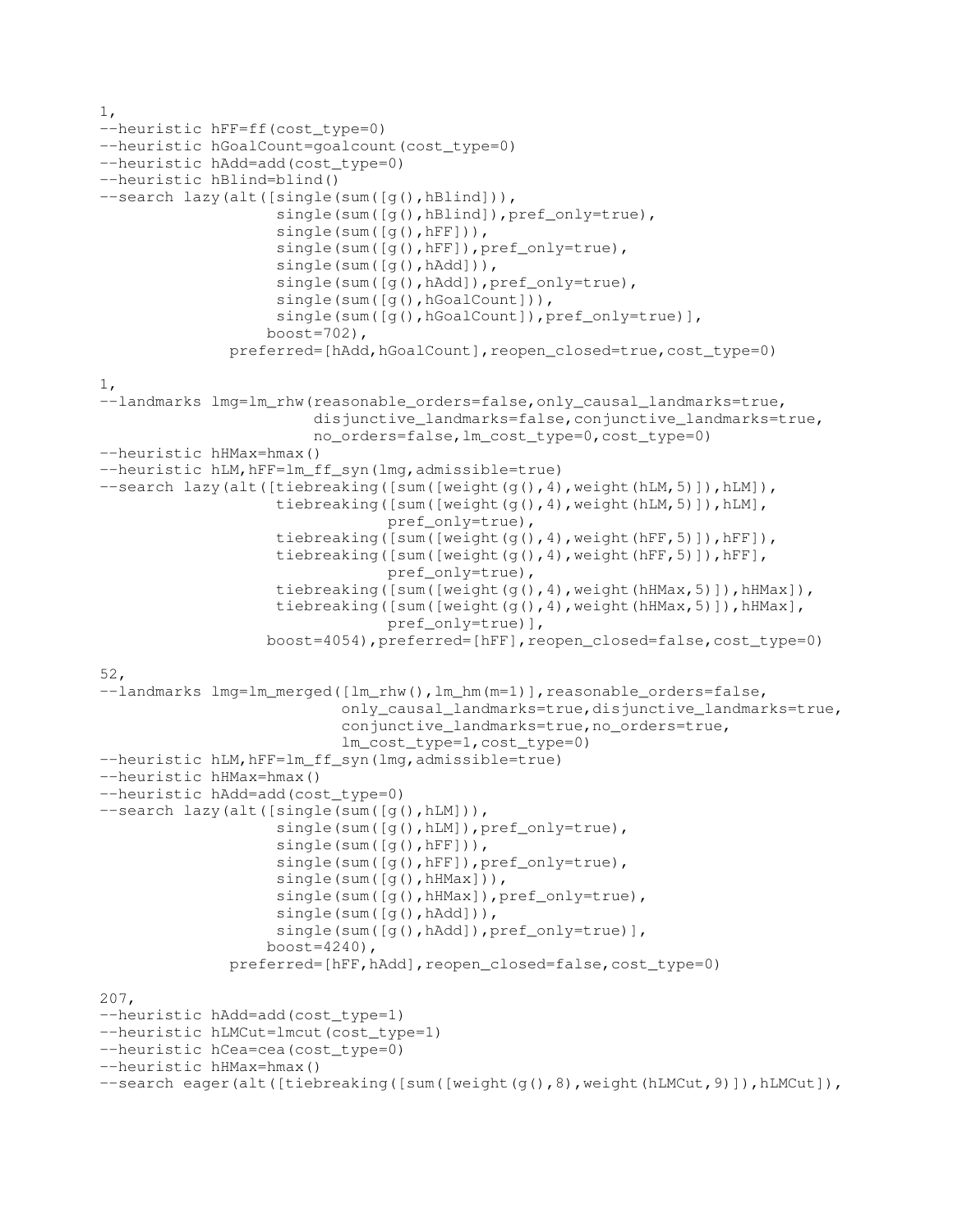```
1,
--heuristic hFF=ff(cost_type=0)
--heuristic hGoalCount=goalcount(cost_type=0)
--heuristic hAdd=add(cost_type=0)
--heuristic hBlind=blind()
--search lazy(alt([single(sum([g(),hBlind])),
                   single(sum([g(),hBlind]),pref_only=true),
                   single(sum([g(),hFF])),
                   single(sum([g(),hFF]),pref_only=true),
                   single(sum([g(),hAdd])),
                   single(sum([g(),hAdd]),pref_only=true),
                   single(sum([g(),hGoalCount])),
                   single(sum([g(),hGoalCount]),pref_only=true)],
                  boost=702),
              preferred=[hAdd,hGoalCount],reopen_closed=true,cost_type=0)
1,
--landmarks lmg=lm_rhw(reasonable_orders=false,only_causal_landmarks=true,
                       disjunctive_landmarks=false,conjunctive_landmarks=true,
                       no_orders=false,lm_cost_type=0,cost_type=0)
--heuristic hHMax=hmax()
--heuristic hLM, hFF=lm_ff_syn(lmg, admissible=true)
--search lazy(alt([tiebreaking([sum([weight(g(), 4), weight(hLM, 5)]), hLM]),
                   tiebreaking([sum([weight(g(),4),weight(hLM,5)]),hLM],
                               pref_only=true),
                   tiebreaking([sum([weight(g(),4),weight(hFF,5)]),hFF]),
                   tiebreaking([sum([weight(g(),4),weight(hFF,5)]),hFF],
                               pref_only=true),
                   tiebreaking([sum([weight(g(),4),weight(hHMax,5)]),hHMax]),
                   tiebreaking([sum([weight(g(),4),weight(hHMax,5)]),hHMax],
                                pref_only=true)],
                  boost=4054),preferred=[hFF],reopen_closed=false,cost_type=0)
52,
--landmarks lmg=lm_merged([lm_rhw(), lm_hm(m=1)], reasonable_orders=false,
                          only_causal_landmarks=true,disjunctive_landmarks=true,
                          conjunctive_landmarks=true,no_orders=true,
                          lm_cost_type=1,cost_type=0)
--heuristic hLM, hFF=lm_ff_syn(lmg, admissible=true)
--heuristic hHMax=hmax()
--heuristic hAdd=add(cost_type=0)
--search lazy(alt([single(sum([g(),hLM])),
                   single(sum([g(),hLM]), pref_only=true),
                   single(sum([g(),hFF])),
                   single(sum([g(),hFF]),pref_only=true),
                   single(sum([g(),hHMax])),
                   single(sum([g(),hHMax]),pref_only=true),
                   single(sum([g(),hAdd])),
                   single(sum([q(),hAdd]),pref_only=true)],
                  boost=4240),
              preferred=[hFF,hAdd],reopen_closed=false,cost_type=0)
207,
--heuristic hAdd=add(cost_type=1)
--heuristic hLMCut=lmcut(cost_type=1)
--heuristic hCea=cea(cost_type=0)
--heuristic hHMax=hmax()
--search eager(alt([tiebreaking([sum([weight(g(),8),weight(hLMCut,9)]),hLMCut]),
```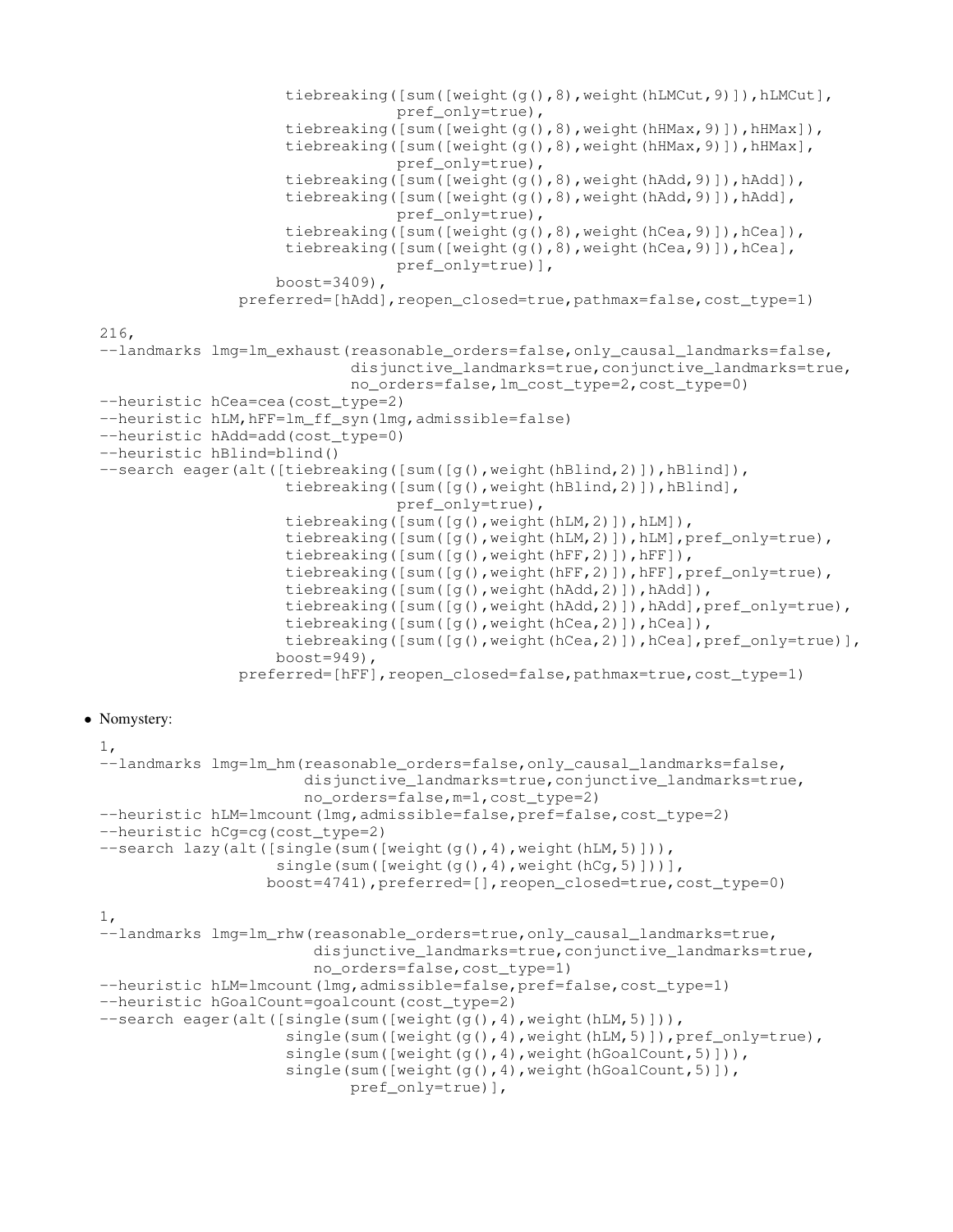```
tiebreaking([sum([weight(g(),8),weight(hLMCut,9)]),hLMCut],
                                  pref_only=true),
                      tiebreaking([sum([weight(g(),8),weight(hHMax,9)]),hHMax]),
                      tiebreaking([sum([weight(g(),8),weight(hHMax,9)]),hHMax],
                                  pref_only=true),
                      tiebreaking([sum([weight(g(),8),weight(hAdd,9)]),hAdd]),
                      tiebreaking([sum([weight(g(),8),weight(hAdd,9)]),hAdd],
                                  pref_only=true),
                      tiebreaking([sum([weight(g(),8),weight(hCea,9)]),hCea]),
                      tiebreaking([sum([weight(g(),8),weight(hCea,9)]),hCea],
                                  pref_only=true)],
                     boost=3409),
                 preferred=[hAdd],reopen_closed=true,pathmax=false,cost_type=1)
 216,
 --landmarks lmg=lm_exhaust(reasonable_orders=false,only_causal_landmarks=false,
                             disjunctive_landmarks=true, conjunctive_landmarks=true,
                             no_orders=false,lm_cost_type=2,cost_type=0)
 --heuristic hCea=cea(cost_type=2)
 --heuristic hLM, hFF=lm_ff_syn(lmg, admissible=false)
 --heuristic hAdd=add(cost_type=0)
 --heuristic hBlind=blind()
 --search eager(alt([tiebreaking([sum([g(),weight(hBlind,2)]),hBlind]),
                      tiebreaking([sum([g(),weight(hBlind,2)]),hBlind],
                                  pref_only=true),
                      tiebreaking([sum([g(),weight(hLM,2)]),hLM]),
                      tiebreaking([sum([g(), weight(hLM, 2)]), hLM], pref_only=true),
                      tiebreaking([sum([g(),weight(hFF,2)]),hFF]),
                      tiebreaking([sum([g(),weight(hFF,2)]),hFF],pref_only=true),
                      tiebreaking([sum([g(),weight(hAdd,2)]),hAdd]),
                      tiebreaking([sum([g(),weight(hAdd,2)]),hAdd],pref_only=true),
                      tiebreaking([sum([q(),weight(hCea,2)]),hCea]),
                      tiebreaking([sum([g(),weight(hCea,2)]),hCea],pref_only=true)],
                     boost=949),
                 preferred=[hFF], reopen_closed=false, pathmax=true, cost_type=1)
• Nomystery:
```

```
1,
--landmarks lmg=lm_hm(reasonable_orders=false,only_causal_landmarks=false,
                      disjunctive_landmarks=true,conjunctive_landmarks=true,
                      no_orders=false,m=1,cost_type=2)
--heuristic hLM=lmcount(lmg,admissible=false,pref=false,cost_type=2)
--heuristic hCg=cg(cost_type=2)
--search lazy(alt([single(sum([weight(q(),4),weight(hLM,5)])),
                   single(sum([weight(g(),4),weight(hCg,5)]))],
                  boost=4741),preferred=[],reopen_closed=true,cost_type=0)
1,
--landmarks lmg=lm_rhw(reasonable_orders=true,only_causal_landmarks=true,
                       disjunctive_landmarks=true, conjunctive_landmarks=true,
                       no_orders=false,cost_type=1)
--heuristic hLM=lmcount(lmg,admissible=false,pref=false,cost_type=1)
--heuristic hGoalCount=goalcount(cost_type=2)
--search eager(alt([single(sum([weight(g(),4),weight(hLM,5)])),
                    single(sum([weight(g(),4),weight(hLM,5)]),pref_only=true),
                    single(sum([weight(g(),4),weight(hGoalCount,5)])),
                    single(sum([weight(g(),4),weight(hGoalCount,5)]),
```

```
pref_only=true)],
```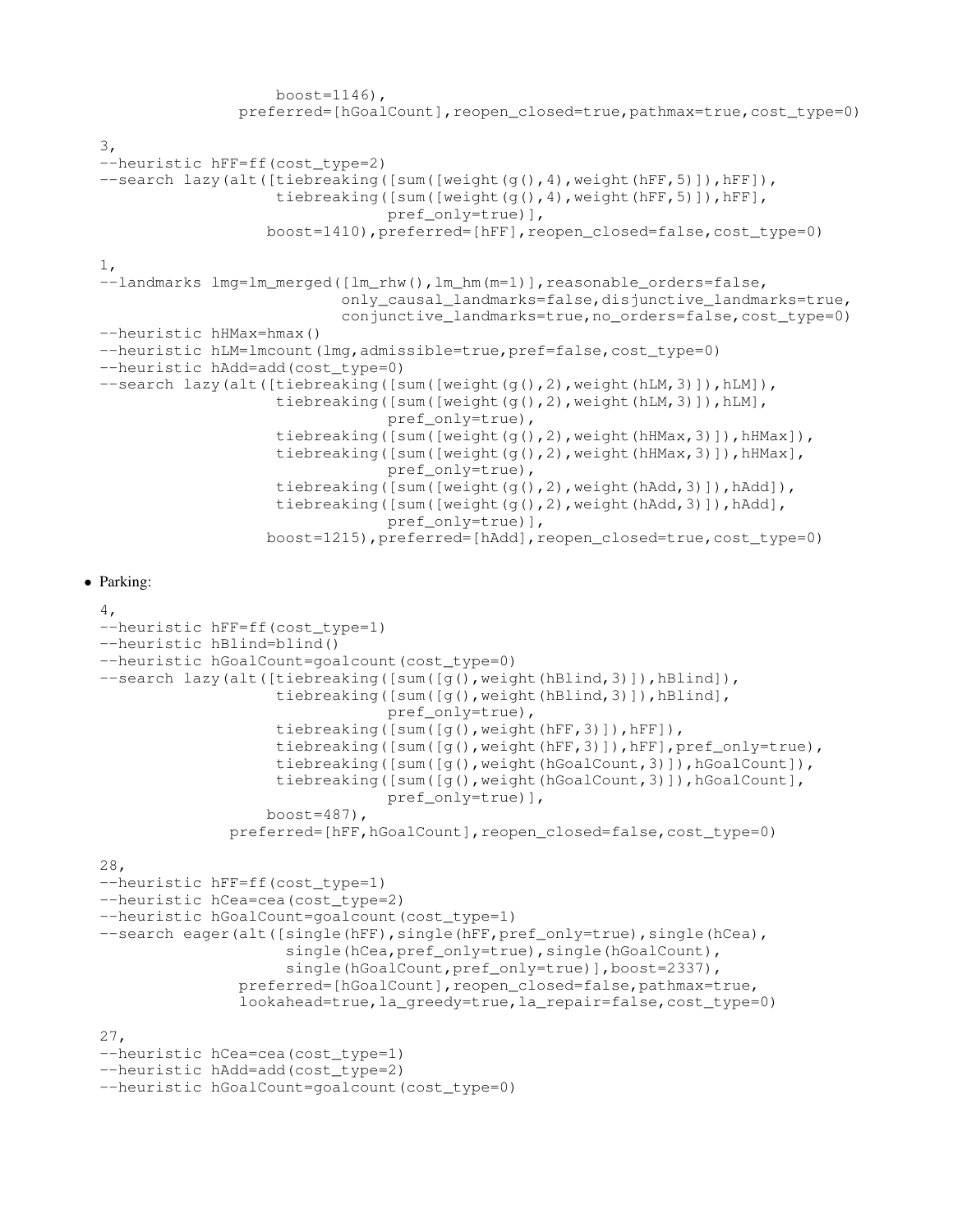```
boost=1146),
               preferred=[hGoalCount], reopen_closed=true, pathmax=true, cost_type=0)
3,
--heuristic hFF=ff(cost_type=2)
--search lazy(alt([tiebreaking([sum([weight(g(),4),weight(hFF,5)]),hFF]),
                   tiebreaking([sum([weight(g(),4),weight(hFF,5)]),hFF],
                               pref_only=true)],
                  boost=1410),preferred=[hFF],reopen_closed=false,cost_type=0)
1,
--landmarks lmg=lm_merged([lm_rhw(), lm_hm(m=1)], reasonable_orders=false,
                          only_causal_landmarks=false,disjunctive_landmarks=true,
                          conjunctive_landmarks=true,no_orders=false,cost_type=0)
--heuristic hHMax=hmax()
--heuristic hLM=lmcount(lmg,admissible=true,pref=false,cost_type=0)
--heuristic hAdd=add(cost_type=0)
--search lazy(alt([tiebreaking([sum([weight(g(),2),weight(hLM,3)]),hLM]),
                   tiebreaking([sum([weight(g(),2),weight(hLM,3)]),hLM],
                               pref_only=true),
                   tiebreaking([sum([weight(g(),2),weight(hHMax,3)]),hHMax]),
                   tiebreaking([sum([weight(g(),2),weight(hHMax,3)]),hHMax],
                               pref_only=true),
                   tiebreaking([sum([weight(g(),2),weight(hAdd,3)]),hAdd]),
                   tiebreaking([sum([weight(g(),2),weight(hAdd,3)]),hAdd],
                               pref_only=true)],
                  boost=1215),preferred=[hAdd],reopen_closed=true,cost_type=0)
```
#### • Parking:

```
4,
--heuristic hFF=ff(cost_type=1)
--heuristic hBlind=blind()
--heuristic hGoalCount=goalcount(cost_type=0)
--search lazy(alt([tiebreaking([sum([q(),weight(hBlind,3)]),hBlind]),
                    tiebreaking([sum([g(),weight(hBlind,3)]),hBlind],
                                 pref_only=true),
                    tiebreaking([sum([g(),weight(hFF,3)]),hFF]),
                    tiebreaking(\lceil \text{sum}(\lceil q(\cdot), \text{weight}(\text{hFF}, 3) \rceil), hFF], pref_only=true),
                    tiebreaking([sum([q(),weight(hGoalCount,3)]),hGoalCount]),
                    tiebreaking([sum([g(),weight(hGoalCount,3)]),hGoalCount],
                                 pref_only=true)],
                   boost=487),
               preferred=[hFF,hGoalCount],reopen_closed=false,cost_type=0)
28,
--heuristic hFF=ff(cost_type=1)
--heuristic hCea=cea(cost_type=2)
--heuristic hGoalCount=goalcount(cost_type=1)
--search eager(alt([single(hFF),single(hFF,pref_only=true),single(hCea),
                     single(hCea, pref_only=true), single(hGoalCount),
                     single(hGoalCount, pref_only=true)], boost=2337),
                preferred=[hGoalCount],reopen_closed=false,pathmax=true,
                lookahead=true,la_greedy=true,la_repair=false,cost_type=0)
27,
--heuristic hCea=cea(cost_type=1)
--heuristic hAdd=add(cost_type=2)
--heuristic hGoalCount=goalcount(cost_type=0)
```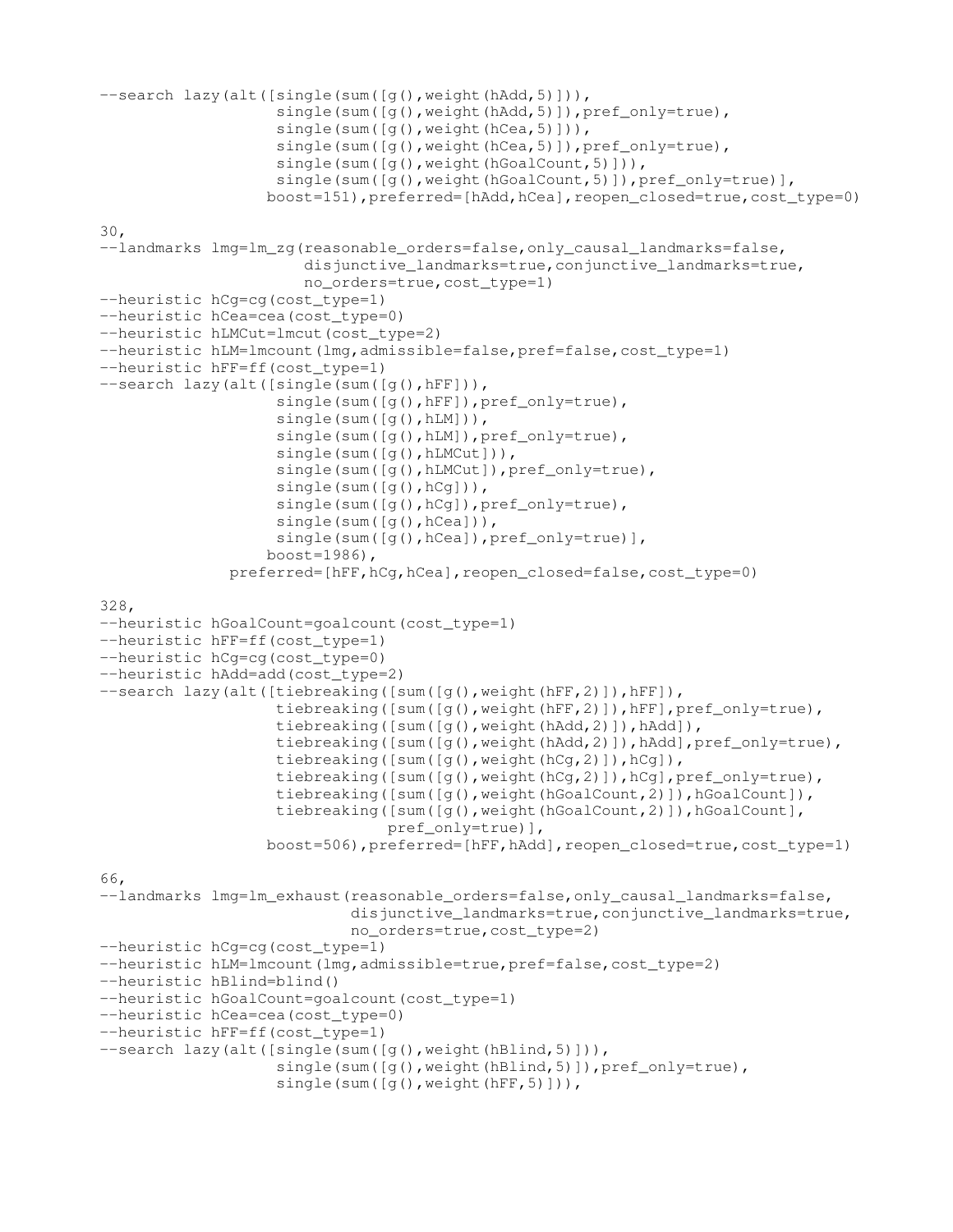```
--search lazy(alt([single(sum([q(),weight(hAdd,5)])),
                   single(sum([g(),weight(hAdd,5)]),pref_only=true),
                   single(sum([g(), weight(hCea, 5)])),
                   single(sum([g(), weight(hCea, 5)]), pref_only=true),
                   single(sum([g(), weight(hGoalCount, 5)])),
                   single(sum([q(),weight(hGoalCount,5)]),pref_only=true)],
                  boost=151), preferred=[hAdd, hCea], reopen_closed=true, cost_type=0)
30,
--landmarks lmg=lm_zg(reasonable_orders=false,only_causal_landmarks=false,
                      disjunctive_landmarks=true, conjunctive_landmarks=true,
                      no_orders=true,cost_type=1)
--heuristic hCg=cg(cost_type=1)
--heuristic hCea=cea(cost_type=0)
--heuristic hLMCut=lmcut(cost type=2)
--heuristic hLM=lmcount(lmg,admissible=false,pref=false,cost_type=1)
--heuristic hFF=ff(cost_type=1)
--search lazy(alt([single(sum([g(),hFF])),
                   single(sum([q(),hFF]),pref_only=true),
                   single(sum([g(),hLM])),
                   single(sum([g(),hLM]), pref_only=true),
                   single(sum([g(),hLMCut])),
                   single(sum([g(),hLMCut]),pref_only=true),
                   single(sum([g(),hCg])),
                   single(sum([g(),hCg]),pref_only=true),
                   single(sum([q(),hCea])),
                   single(sum([g(),hCea]),pref_only=true)],
                  boost=1986),
              preferred=[hFF,hCg,hCea],reopen_closed=false,cost_type=0)
328,
--heuristic hGoalCount=goalcount(cost_type=1)
--heuristic hFF=ff(cost type=1)
--heuristic hCg=cg(cost_type=0)
--heuristic hAdd=add(cost_type=2)
--search lazy(alt([tiebreaking([sum([g(),weight(hFF,2)]),hFF]),
                   tiebreaking([sum([g(),weight(hFF,2)]),hFF],pref_only=true),
                   tiebreaking([sum([g(),weight(hAdd,2)]),hAdd]),
                   tiebreaking([sum([q(),weight(hAdd,2)]),hAdd],pref_only=true),
                   tiebreaking([sum([g(),weight(hCg,2)]),hCg]),
                   tiebreaking([sum([g(),weight(hCg,2)]),hCg],pref_only=true),
                   tiebreaking([sum([g(),weight(hGoalCount,2)]),hGoalCount]),
                   tiebreaking([sum([g(),weight(hGoalCount,2)]),hGoalCount],
                               pref_only=true)],
                  boost=506),preferred=[hFF,hAdd],reopen_closed=true,cost_type=1)
66,
--landmarks lmg=lm_exhaust(reasonable_orders=false,only_causal_landmarks=false,
                           disjunctive_landmarks=true, conjunctive_landmarks=true,
                           no_orders=true,cost_type=2)
--heuristic hCg=cg(cost_type=1)
--heuristic hLM=lmcount(lmg,admissible=true,pref=false,cost_type=2)
--heuristic hBlind=blind()
--heuristic hGoalCount=goalcount(cost_type=1)
--heuristic hCea=cea(cost_type=0)
--heuristic hFF=ff(cost_type=1)
--search lazy(alt([single(sum([g(),weight(hBlind,5)])),
                   single(sum([g(),weight(hBlind,5)]),pref_only=true),
                   single(sum([q(), weight(hFF, 5)])),
```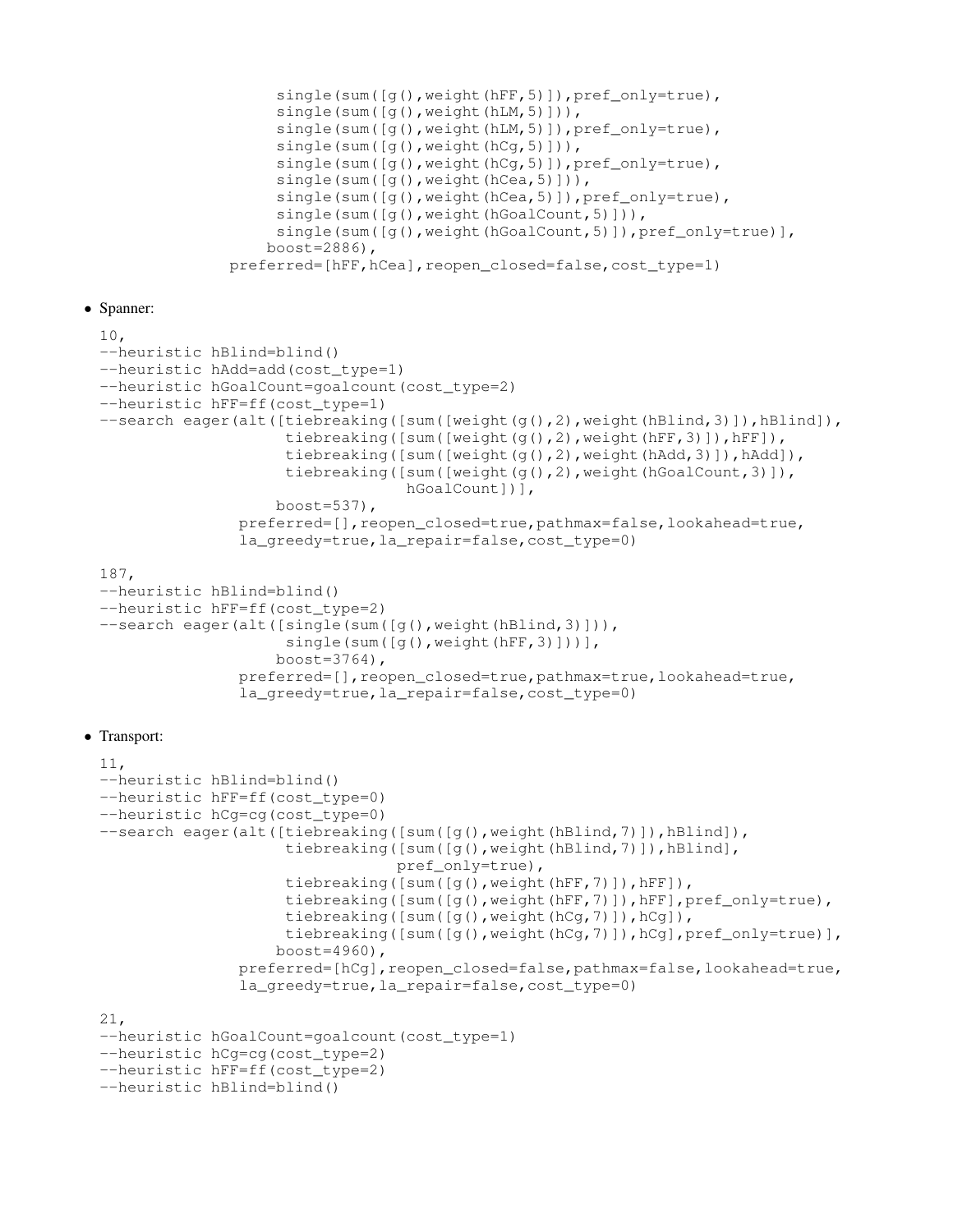```
single(sum([q(),weight(hFF,5)]),pref_only=true),
     single(sum([g(),weight(hLM,5)])),
     single(sum([g(),weight(hLM,5)]),pref_only=true),
     single(sum([g(),weight(hCg,5)])),
     single(sum([g(),weight(hCg,5)]),pref_only=true),
     single(sum([q(),weight(hCea,5)])),
     single(sum([g(), weight(hCea, 5)]), pref_only=true),
     single(sum([g(),weight(hGoalCount,5)])),
     single(sum([g(), weight(hGoalCount, 5)]), pref_only=true)],
    boost=2886),
preferred=[hFF,hCea],reopen_closed=false,cost_type=1)
```
• Spanner:

```
10,
--heuristic hBlind=blind()
--heuristic hAdd=add(cost_type=1)
--heuristic hGoalCount=goalcount(cost_type=2)
--heuristic hFF=ff(cost_type=1)
--search eager(alt([tiebreaking([sum([weight(g(),2), weight(hBlind,3)]),hBlind]),
                    tiebreaking([sum([weight(g(),2),weight(hFF,3)]),hFF]),
                    tiebreaking([sum([weight(g(),2),weight(hAdd,3)]),hAdd]),
                    tiebreaking([sum([weight(g(),2),weight(hGoalCount,3)]),
                                 hGoalCount])],
                   boost=537),
               preferred=[],reopen_closed=true,pathmax=false,lookahead=true,
               la_greedy=true,la_repair=false,cost_type=0)
187,
--heuristic hBlind=blind()
--heuristic hFF=ff(cost_type=2)
--search eager(alt([single(sum([g(),weight(hBlind,3)])),
                    single(sum([g(),weight(hFF,3)]))],
                   boost=3764),
               preferred=[],reopen_closed=true,pathmax=true,lookahead=true,
               la_greedy=true,la_repair=false,cost_type=0)
```
# • Transport:

```
11,
--heuristic hBlind=blind()
--heuristic hFF=ff(cost_type=0)
--heuristic hCg=cg(cost_type=0)
--search eager(alt([tiebreaking([sum([g(),weight(hBlind,7)]),hBlind]),
                    tiebreaking([sum([q(),weight(hBlind,7)]),hBlind],
                                pref_only=true),
                    tiebreaking([sum([q(),weight(hFF,7)]),hFF]),
                    tiebreaking([sum([g(),weight(hFF,7)]),hFF],pref_only=true),
                    tiebreaking([sum([g(),weight(hCg,7)]),hCg]),
                    tiebreaking([sum([q(),weight(hCq,7)]),hCq],pref_only=true)],
                   boost=4960),
               preferred=[hCg], reopen_closed=false, pathmax=false, lookahead=true,
               la_greedy=true,la_repair=false,cost_type=0)
21,
--heuristic hGoalCount=goalcount(cost_type=1)
--heuristic hCg=cg(cost_type=2)
--heuristic hFF=ff(cost_type=2)
```

```
--heuristic hBlind=blind()
```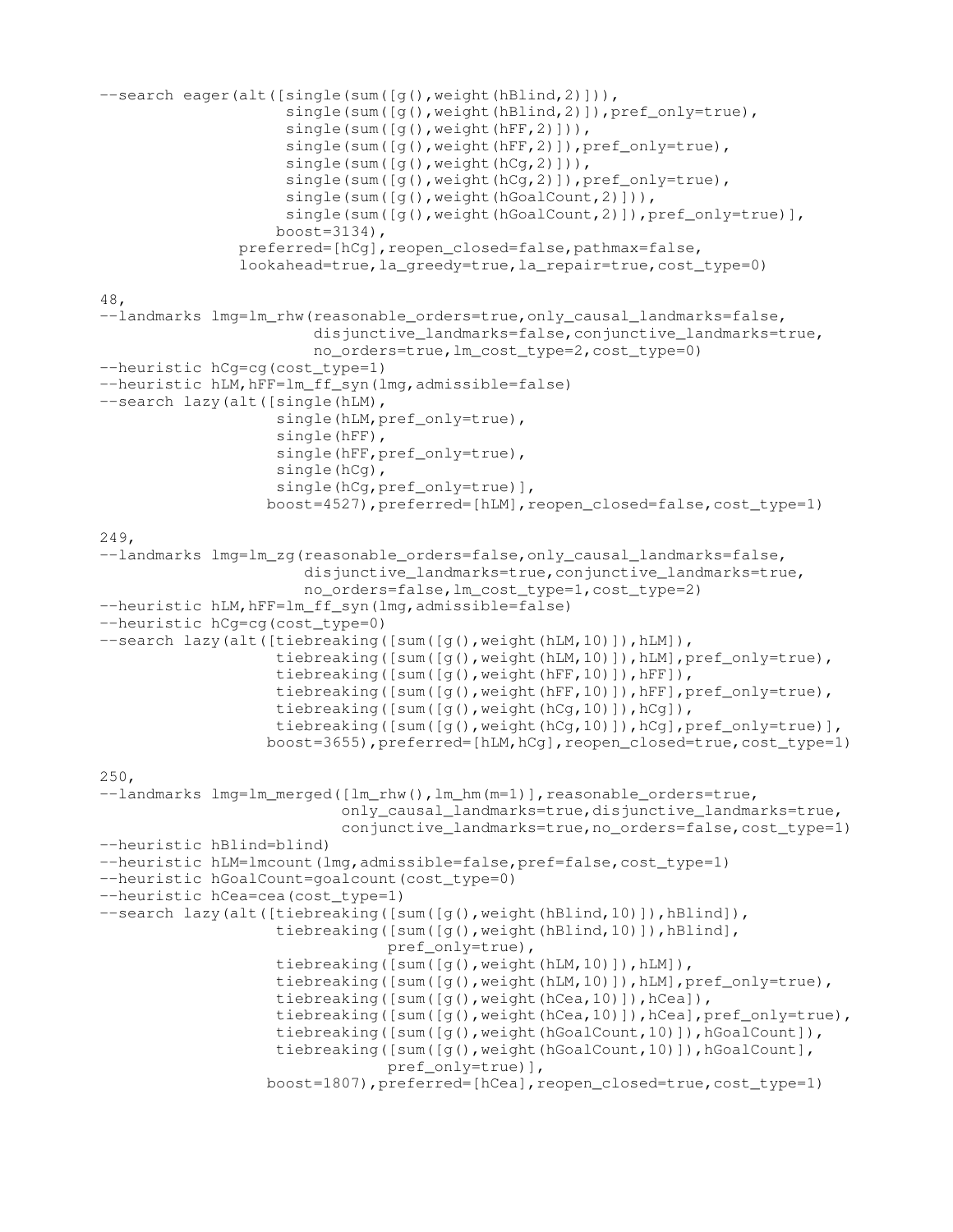```
--search eager(alt([single(sum([q(),weight(hBlind,2)])),
                    single(sum([g(), weight(hBlind, 2)]), pref_only=true),
                    single(sum([g(),weight(hFF,2)])),
                    single(sum([g(),weight(hFF,2)]),pref_only=true),
                    single(sum([g(),weight(hCg,2)])),
                    single(sum([q(),weight(hCq,2)]),pref_only=true),
                    single(sum([g(), weight(hGoalCount, 2)])),
                    single(sum([g(),weight(hGoalCount,2)]),pref_only=true)],
                   boost=3134),
               preferred=[hCg], reopen_closed=false, pathmax=false,
               lookahead=true, la_greedy=true, la_repair=true, cost_type=0)
48,
--landmarks lmg=lm_rhw(reasonable_orders=true,only_causal_landmarks=false,
                       disjunctive_landmarks=false, conjunctive_landmarks=true,
                       no_orders=true,lm_cost_type=2,cost_type=0)
--heuristic hCg=cg(cost_type=1)
--heuristic hLM, hFF=lm_ff_syn(lmg, admissible=false)
--search lazy(alt([single(hLM),
                   single(hLM, pref_only=true),
                   single(hFF),
                   single(hFF, pref_only=true),
                   single(hCg),
                   single(hCq, pref_only=true)],
                  boost=4527),preferred=[hLM],reopen_closed=false,cost_type=1)
249,
--landmarks lmg=lm_zg(reasonable_orders=false,only_causal_landmarks=false,
                      disjunctive_landmarks=true, conjunctive_landmarks=true,
                      no_orders=false,lm_cost_type=1,cost_type=2)
--heuristic hLM, hFF=lm_ff_syn(lmg, admissible=false)
--heuristic hCg=cg(cost_type=0)
--search lazy(alt([tiebreaking([sum([q(),weight(hLM,10)]),hLM]),
                   tiebreaking([sum([q(),weight(hLM,10)]),hLM],pref_only=true),
                   tiebreaking([sum([g(),weight(hFF,10)]),hFF]),
                   tiebreaking([sum([g(),weight(hFF,10)]),hFF],pref_only=true),
                   tiebreaking([sum([g(),weight(hCg,10)]),hCg]),
                   tiebreaking([sum([g(),weight(hCg,10)]),hCg],pref_only=true)],
                  boost=3655),preferred=[hLM,hCg],reopen_closed=true,cost_type=1)
250,
--landmarks lmg=lm_merged([lm_rhw(), lm_hm(m=1)], reasonable_orders=true,
                          only_causal_landmarks=true,disjunctive_landmarks=true,
                          conjunctive_landmarks=true,no_orders=false,cost_type=1)
--heuristic hBlind=blind)
--heuristic hLM=lmcount(lmg,admissible=false,pref=false,cost type=1)
--heuristic hGoalCount=goalcount(cost_type=0)
--heuristic hCea=cea(cost_type=1)
--search lazy(alt([tiebreaking([sum([g(), weight(hBlind, 10)]),hBlind]),
                   tiebreaking([sum([q(),weight(hBlind,10)]),hBlind],
                               pref_only=true),
                   tiebreaking([sum([q(),weight(hLM,10)]),hLM]),
                   tiebreaking([sum([q(),weight(hLM,10)]),hLM],pref_only=true),
                   tiebreaking([sum([g(),weight(hCea,10)]),hCea]),
                   tiebreaking([sum([g(), weight(hCea,10)]), hCea], pref_only=true),
                   tiebreaking([sum([g(),weight(hGoalCount,10)]),hGoalCount]),
                   tiebreaking([sum([g(),weight(hGoalCount,10)]),hGoalCount],
                               pref_only=true)],
                  boost=1807),preferred=[hCea],reopen_closed=true,cost_type=1)
```